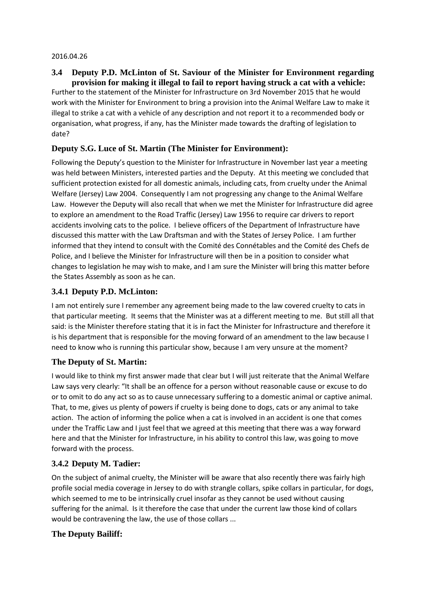#### 2016.04.26

### **3.4 Deputy P.D. McLinton of St. Saviour of the Minister for Environment regarding provision for making it illegal to fail to report having struck a cat with a vehicle:**

Further to the statement of the Minister for Infrastructure on 3rd November 2015 that he would work with the Minister for Environment to bring a provision into the Animal Welfare Law to make it illegal to strike a cat with a vehicle of any description and not report it to a recommended body or organisation, what progress, if any, has the Minister made towards the drafting of legislation to date?

# **Deputy S.G. Luce of St. Martin (The Minister for Environment):**

Following the Deputy's question to the Minister for Infrastructure in November last year a meeting was held between Ministers, interested parties and the Deputy. At this meeting we concluded that sufficient protection existed for all domestic animals, including cats, from cruelty under the Animal Welfare (Jersey) Law 2004. Consequently I am not progressing any change to the Animal Welfare Law. However the Deputy will also recall that when we met the Minister for Infrastructure did agree to explore an amendment to the Road Traffic (Jersey) Law 1956 to require car drivers to report accidents involving cats to the police. I believe officers of the Department of Infrastructure have discussed this matter with the Law Draftsman and with the States of Jersey Police. I am further informed that they intend to consult with the Comité des Connétables and the Comité des Chefs de Police, and I believe the Minister for Infrastructure will then be in a position to consider what changes to legislation he may wish to make, and I am sure the Minister will bring this matter before the States Assembly as soon as he can.

### **3.4.1 Deputy P.D. McLinton:**

I am not entirely sure I remember any agreement being made to the law covered cruelty to cats in that particular meeting. It seems that the Minister was at a different meeting to me. But still all that said: is the Minister therefore stating that it is in fact the Minister for Infrastructure and therefore it is his department that is responsible for the moving forward of an amendment to the law because I need to know who is running this particular show, because I am very unsure at the moment?

#### **The Deputy of St. Martin:**

I would like to think my first answer made that clear but I will just reiterate that the Animal Welfare Law says very clearly: "It shall be an offence for a person without reasonable cause or excuse to do or to omit to do any act so as to cause unnecessary suffering to a domestic animal or captive animal. That, to me, gives us plenty of powers if cruelty is being done to dogs, cats or any animal to take action. The action of informing the police when a cat is involved in an accident is one that comes under the Traffic Law and I just feel that we agreed at this meeting that there was a way forward here and that the Minister for Infrastructure, in his ability to control this law, was going to move forward with the process.

## **3.4.2 Deputy M. Tadier:**

On the subject of animal cruelty, the Minister will be aware that also recently there was fairly high profile social media coverage in Jersey to do with strangle collars, spike collars in particular, for dogs, which seemed to me to be intrinsically cruel insofar as they cannot be used without causing suffering for the animal. Is it therefore the case that under the current law those kind of collars would be contravening the law, the use of those collars ...

## **The Deputy Bailiff:**